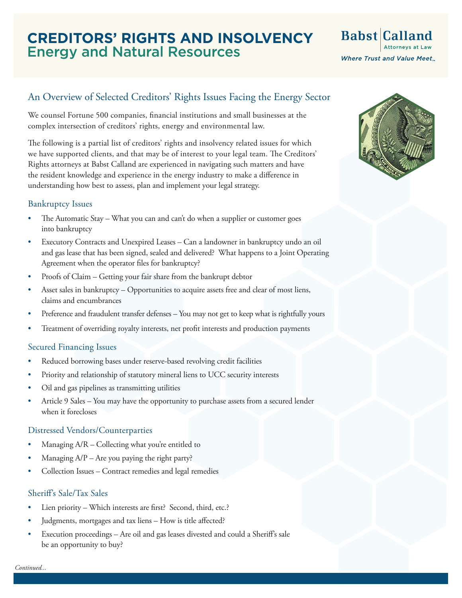## **CREDITORS' RIGHTS AND INSOLVENCY** Energy and Natural Resources

# Babst Calland **Where Trust and Value Meet.**

### An Overview of Selected Creditors' Rights Issues Facing the Energy Sector

We counsel Fortune 500 companies, financial institutions and small businesses at the complex intersection of creditors' rights, energy and environmental law.

The following is a partial list of creditors' rights and insolvency related issues for which we have supported clients, and that may be of interest to your legal team. The Creditors' Rights attorneys at Babst Calland are experienced in navigating such matters and have the resident knowledge and experience in the energy industry to make a difference in understanding how best to assess, plan and implement your legal strategy.

#### Bankruptcy Issues

- The Automatic Stay What you can and can't do when a supplier or customer goes into bankruptcy
- Executory Contracts and Unexpired Leases Can a landowner in bankruptcy undo an oil and gas lease that has been signed, sealed and delivered? What happens to a Joint Operating Agreement when the operator files for bankruptcy?
- Proofs of Claim Getting your fair share from the bankrupt debtor
- Asset sales in bankruptcy Opportunities to acquire assets free and clear of most liens, claims and encumbrances
- Preference and fraudulent transfer defenses You may not get to keep what is rightfully yours
- Treatment of overriding royalty interests, net profit interests and production payments

#### Secured Financing Issues

- Reduced borrowing bases under reserve-based revolving credit facilities
- Priority and relationship of statutory mineral liens to UCC security interests
- Oil and gas pipelines as transmitting utilities
- Article 9 Sales You may have the opportunity to purchase assets from a secured lender when it forecloses

#### Distressed Vendors/Counterparties

- Managing A/R Collecting what you're entitled to
- Managing  $A/P A$ re you paying the right party?
- Collection Issues Contract remedies and legal remedies

#### Sheriff's Sale/Tax Sales

- Lien priority Which interests are first? Second, third, etc.?
- Judgments, mortgages and tax liens How is title affected?
- Execution proceedings Are oil and gas leases divested and could a Sheriff's sale be an opportunity to buy?